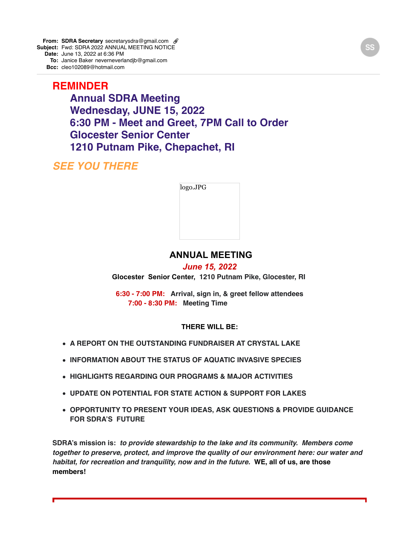**From: SDRA Secretary** secretarysdra@gmail.com @ **Subject:** Fwd: SDRA 2022 ANNUAL MEETING NOTICE **Date:** June 13, 2022 at 6:36 PM **To:** Janice Baker neverneverlandjb@gmail.com

**Bcc:** cleo102089@hotmail.com

**REMINDER Annual SDRA Meeting Wednesday, JUNE 15, 2022 6:30 PM - Meet and Greet, 7PM Call to Order Glocester Senior Center 1210 Putnam Pike, Chepachet, RI**

*SEE YOU THERE*

| logo.JPG |  |  |
|----------|--|--|
|          |  |  |
|          |  |  |
|          |  |  |
|          |  |  |

## **ANNUAL MEETING**

## *June 15, 2022*

**Glocester Senior Center, 1210 Putnam Pike, Glocester, RI** 

**6:30 - 7:00 PM: Arrival, sign in, & greet fellow attendees 7:00 - 8:30 PM: Meeting Time**

## **THERE WILL BE:**

- **A REPORT ON THE OUTSTANDING FUNDRAISER AT CRYSTAL LAKE**
- **INFORMATION ABOUT THE STATUS OF AQUATIC INVASIVE SPECIES**
- **HIGHLIGHTS REGARDING OUR PROGRAMS & MAJOR ACTIVITIES**
- **UPDATE ON POTENTIAL FOR STATE ACTION & SUPPORT FOR LAKES**
- **OPPORTUNITY TO PRESENT YOUR IDEAS, ASK QUESTIONS & PROVIDE GUIDANCE FOR SDRA'S FUTURE**

**SDRA's mission is:** *to provide stewardship to the lake and its community. Members come together to preserve, protect, and improve the quality of our environment here: our water and habitat, for recreation and tranquility, now and in the future.* **WE, all of us, are those members!**